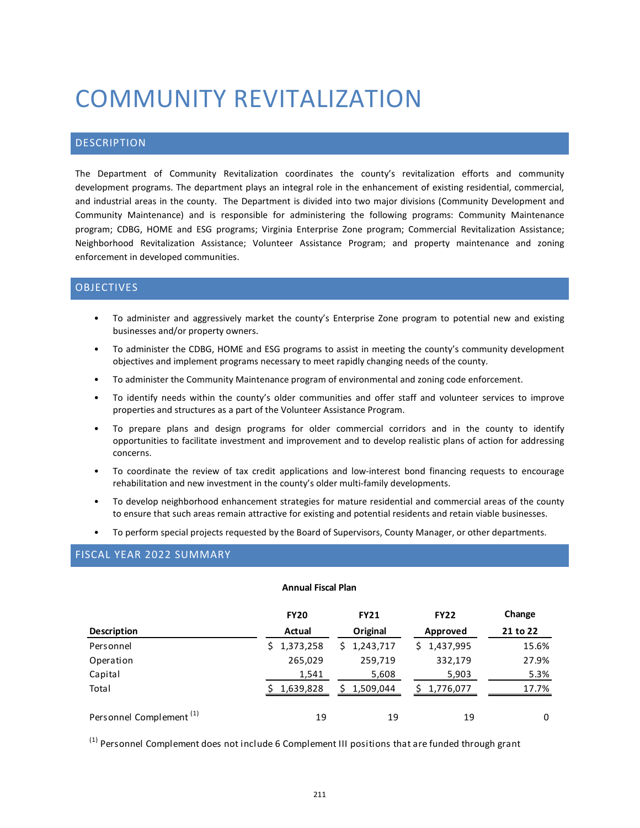# COMMUNITY REVITALIZATION

## DESCRIPTION

The Department of Community Revitalization coordinates the county's revitalization efforts and community development programs. The department plays an integral role in the enhancement of existing residential, commercial, and industrial areas in the county. The Department is divided into two major divisions (Community Development and Community Maintenance) and is responsible for administering the following programs: Community Maintenance program; CDBG, HOME and ESG programs; Virginia Enterprise Zone program; Commercial Revitalization Assistance; Neighborhood Revitalization Assistance; Volunteer Assistance Program; and property maintenance and zoning enforcement in developed communities.

# OBJECTIVES

- To administer and aggressively market the county's Enterprise Zone program to potential new and existing businesses and/or property owners.
- To administer the CDBG, HOME and ESG programs to assist in meeting the county's community development objectives and implement programs necessary to meet rapidly changing needs of the county.
- To administer the Community Maintenance program of environmental and zoning code enforcement.
- To identify needs within the county's older communities and offer staff and volunteer services to improve properties and structures as a part of the Volunteer Assistance Program.
- To prepare plans and design programs for older commercial corridors and in the county to identify opportunities to facilitate investment and improvement and to develop realistic plans of action for addressing concerns.
- To coordinate the review of tax credit applications and low-interest bond financing requests to encourage rehabilitation and new investment in the county's older multi-family developments.
- To develop neighborhood enhancement strategies for mature residential and commercial areas of the county to ensure that such areas remain attractive for existing and potential residents and retain viable businesses.
- To perform special projects requested by the Board of Supervisors, County Manager, or other departments.

# FISCAL YEAR 2022 SUMMARY

#### **Annual Fiscal Plan**

|                                     | <b>FY20</b> | <b>FY21</b> | <b>FY22</b> | Change   |
|-------------------------------------|-------------|-------------|-------------|----------|
| Description                         | Actual      | Original    | Approved    | 21 to 22 |
| Personnel                           | 1,373,258   | \$1,243,717 | \$1,437,995 | 15.6%    |
| Operation                           | 265,029     | 259,719     | 332,179     | 27.9%    |
| Capital                             | 1,541       | 5,608       | 5,903       | 5.3%     |
| Total                               | 1,639,828   | \$1,509,044 | 1,776,077   | 17.7%    |
| Personnel Complement <sup>(1)</sup> | 19          | 19          | 19          | 0        |

<sup>(1)</sup> Personnel Complement does not include 6 Complement III positions that are funded through grant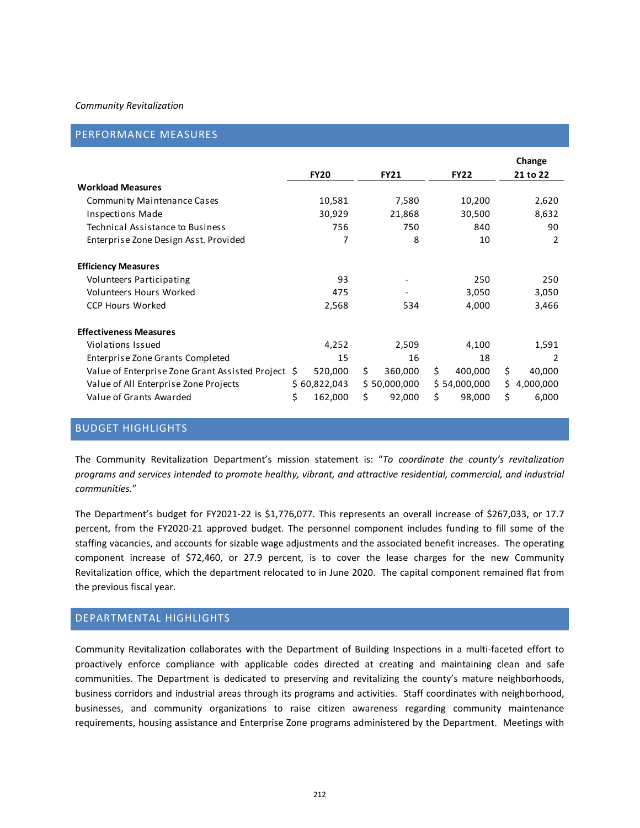#### *Community Revitalization*

|  |  |  | PERFORMANCE MEASURES |  |
|--|--|--|----------------------|--|
|--|--|--|----------------------|--|

|                                                    | <b>FY20</b>   | <b>FY21</b>   | <b>FY22</b>   | Change<br>21 to 22 |
|----------------------------------------------------|---------------|---------------|---------------|--------------------|
| <b>Workload Measures</b>                           |               |               |               |                    |
| <b>Community Maintenance Cases</b>                 | 10,581        | 7,580         | 10,200        | 2,620              |
| <b>Inspections Made</b>                            | 30,929        | 21,868        | 30,500        | 8,632              |
| Technical Assistance to Business                   | 756           | 750           | 840           | 90                 |
| Enterprise Zone Design Asst. Provided              | 7             | 8             | 10            | 2                  |
| <b>Efficiency Measures</b>                         |               |               |               |                    |
| Volunteers Participating                           | 93            |               | 250           | 250                |
| Volunteers Hours Worked                            | 475           |               | 3,050         | 3,050              |
| <b>CCP Hours Worked</b>                            | 2,568         | 534           | 4,000         | 3,466              |
| <b>Effectiveness Measures</b>                      |               |               |               |                    |
| Violations Issued                                  | 4,252         | 2,509         | 4,100         | 1,591              |
| Enterprise Zone Grants Completed                   | 15            | 16            | 18            | $\mathcal{P}$      |
| Value of Enterprise Zone Grant Assisted Project \$ | 520,000       | \$<br>360,000 | Ś.<br>400,000 | \$<br>40,000       |
| Value of All Enterprise Zone Projects              | \$60,822,043  | \$50,000,000  | \$54,000,000  | 4,000,000<br>\$.   |
| Value of Grants Awarded                            | \$<br>162,000 | \$<br>92,000  | Ś<br>98,000   | \$<br>6,000        |

## BUDGET HIGHLIGHTS

The Community Revitalization Department's mission statement is: "*To coordinate the county's revitalization programs and services intended to promote healthy, vibrant, and attractive residential, commercial, and industrial communities.*"

The Department's budget for FY2021-22 is \$1,776,077. This represents an overall increase of \$267,033, or 17.7 percent, from the FY2020-21 approved budget. The personnel component includes funding to fill some of the staffing vacancies, and accounts for sizable wage adjustments and the associated benefit increases. The operating component increase of \$72,460, or 27.9 percent, is to cover the lease charges for the new Community Revitalization office, which the department relocated to in June 2020. The capital component remained flat from the previous fiscal year.

## DEPARTMENTAL HIGHLIGHTS

Community Revitalization collaborates with the Department of Building Inspections in a multi-faceted effort to proactively enforce compliance with applicable codes directed at creating and maintaining clean and safe communities. The Department is dedicated to preserving and revitalizing the county's mature neighborhoods, business corridors and industrial areas through its programs and activities. Staff coordinates with neighborhood, businesses, and community organizations to raise citizen awareness regarding community maintenance requirements, housing assistance and Enterprise Zone programs administered by the Department. Meetings with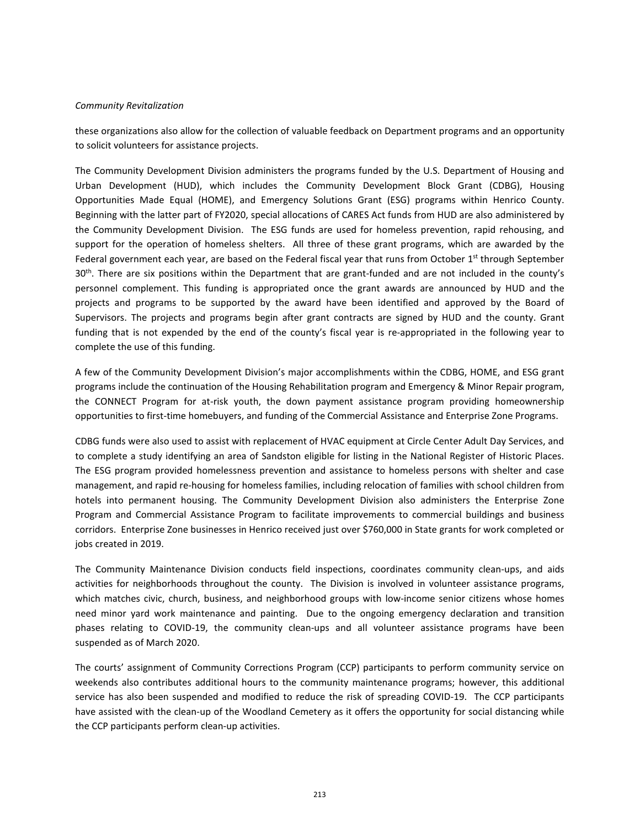#### *Community Revitalization*

these organizations also allow for the collection of valuable feedback on Department programs and an opportunity to solicit volunteers for assistance projects.

The Community Development Division administers the programs funded by the U.S. Department of Housing and Urban Development (HUD), which includes the Community Development Block Grant (CDBG), Housing Opportunities Made Equal (HOME), and Emergency Solutions Grant (ESG) programs within Henrico County. Beginning with the latter part of FY2020, special allocations of CARES Act funds from HUD are also administered by the Community Development Division. The ESG funds are used for homeless prevention, rapid rehousing, and support for the operation of homeless shelters. All three of these grant programs, which are awarded by the Federal government each year, are based on the Federal fiscal year that runs from October  $1<sup>st</sup>$  through September 30<sup>th</sup>. There are six positions within the Department that are grant-funded and are not included in the county's personnel complement. This funding is appropriated once the grant awards are announced by HUD and the projects and programs to be supported by the award have been identified and approved by the Board of Supervisors. The projects and programs begin after grant contracts are signed by HUD and the county. Grant funding that is not expended by the end of the county's fiscal year is re-appropriated in the following year to complete the use of this funding.

A few of the Community Development Division's major accomplishments within the CDBG, HOME, and ESG grant programs include the continuation of the Housing Rehabilitation program and Emergency & Minor Repair program, the CONNECT Program for at-risk youth, the down payment assistance program providing homeownership opportunities to first-time homebuyers, and funding of the Commercial Assistance and Enterprise Zone Programs.

CDBG funds were also used to assist with replacement of HVAC equipment at Circle Center Adult Day Services, and to complete a study identifying an area of Sandston eligible for listing in the National Register of Historic Places. The ESG program provided homelessness prevention and assistance to homeless persons with shelter and case management, and rapid re-housing for homeless families, including relocation of families with school children from hotels into permanent housing. The Community Development Division also administers the Enterprise Zone Program and Commercial Assistance Program to facilitate improvements to commercial buildings and business corridors. Enterprise Zone businesses in Henrico received just over \$760,000 in State grants for work completed or jobs created in 2019.

The Community Maintenance Division conducts field inspections, coordinates community clean-ups, and aids activities for neighborhoods throughout the county. The Division is involved in volunteer assistance programs, which matches civic, church, business, and neighborhood groups with low-income senior citizens whose homes need minor yard work maintenance and painting. Due to the ongoing emergency declaration and transition phases relating to COVID-19, the community clean-ups and all volunteer assistance programs have been suspended as of March 2020.

The courts' assignment of Community Corrections Program (CCP) participants to perform community service on weekends also contributes additional hours to the community maintenance programs; however, this additional service has also been suspended and modified to reduce the risk of spreading COVID-19. The CCP participants have assisted with the clean-up of the Woodland Cemetery as it offers the opportunity for social distancing while the CCP participants perform clean-up activities.